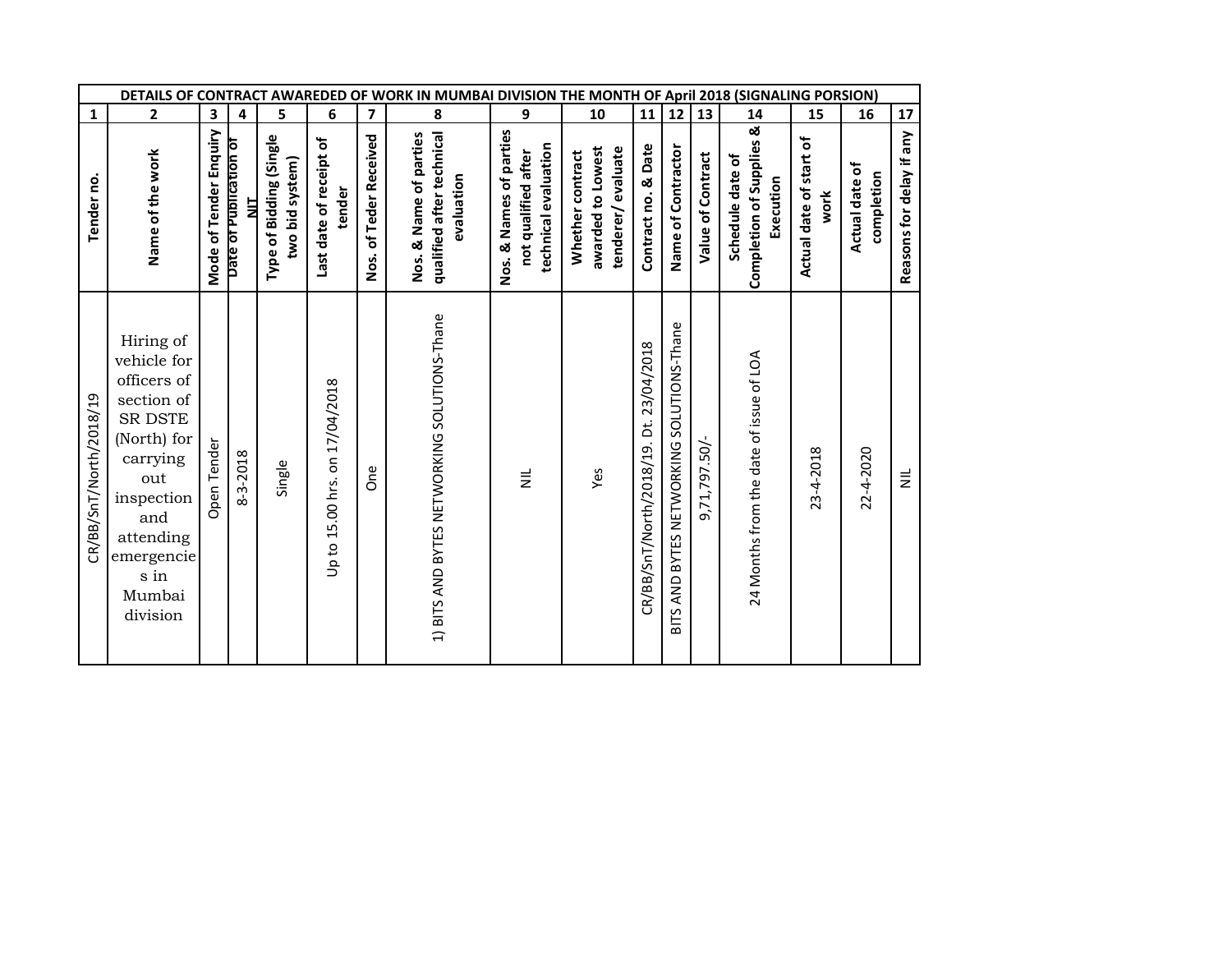|                         | DETAILS OF CONTRACT AWAREDED OF WORK IN MUMBAI DIVISION THE MONTH OF April 2018 (SIGNALING PORSION)                                                                                       |                        |                             |                                            |                                   |                         |                                                                   |                                                                        |                                                            |                                         |                                                                  |                   |                                                           |                                 |                              |                          |
|-------------------------|-------------------------------------------------------------------------------------------------------------------------------------------------------------------------------------------|------------------------|-----------------------------|--------------------------------------------|-----------------------------------|-------------------------|-------------------------------------------------------------------|------------------------------------------------------------------------|------------------------------------------------------------|-----------------------------------------|------------------------------------------------------------------|-------------------|-----------------------------------------------------------|---------------------------------|------------------------------|--------------------------|
| $\mathbf{1}$            | $\mathbf{2}$                                                                                                                                                                              | 3                      | 4                           | 5                                          | 6                                 | $\overline{\mathbf{z}}$ | 8                                                                 | 9                                                                      | 10                                                         | ${\bf 11}$                              | 12                                                               | $\frac{1}{13}$    | 14                                                        | 15                              | 16                           | 17                       |
| Tender no.              | Name of the work                                                                                                                                                                          | Mode of Tender Enquiry | Date of Publication of<br>늘 | Type of Bidding (Single<br>two bid system) | Last date of receipt of<br>tender | Nos. of Teder Received  | qualified after technical<br>Nos. & Name of parties<br>evaluation | Nos. & Names of parties<br>technical evaluation<br>not qualified after | awarded to Lowest<br>tenderer/evaluate<br>Whether contract | Contract no. & Date                     | Name of Contractor                                               | Value of Contract | Completion of Supplies &<br>Schedule date of<br>Execution | Actual date of start of<br>work | Actual date of<br>completion | Reasons for delay if any |
| CR/BB/SnT/North/2018/19 | Hiring of<br>vehicle for<br>officers of<br>$\rm section\ of$<br>SR DSTE<br>(North) for<br>carrying<br>out<br>inspection<br>and<br>attending<br>emergencie<br>$\sin$<br>Mumbai<br>division | pen Tender<br>O        | 8-3-2018                    | Single                                     | Up to 15.00 hrs. on 17/04/2018    | <b>One</b>              | 1) BITS AND BYTES NETWORKING SOLUTIONS-Thane                      | $\equiv$                                                               | Yes                                                        | CR/BB/SnT/North/2018/19. Dt. 23/04/2018 | SOLUTIONS-Thane<br>BYTES NETWORKING<br><b>AND</b><br><b>SLIB</b> | 9,71,797.50/-     | 24 Months from the date of issue of LOA                   | 23-4-2018                       | 22-4-2020                    | $\equiv$                 |